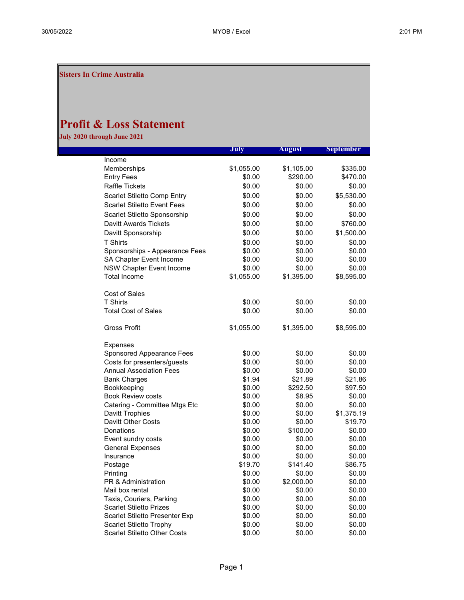Sisters In Crime Australia

## Profit & Loss Statement

July 2020 through June 2021

|                                      | July              | <b>August</b>      | <b>September</b>  |
|--------------------------------------|-------------------|--------------------|-------------------|
| Income                               |                   |                    |                   |
| Memberships                          | \$1,055.00        | \$1,105.00         | \$335.00          |
| <b>Entry Fees</b>                    | \$0.00            | \$290.00           | \$470.00          |
| <b>Raffle Tickets</b>                | \$0.00            | \$0.00             | \$0.00            |
| Scarlet Stiletto Comp Entry          | \$0.00            | \$0.00             | \$5,530.00        |
| <b>Scarlet Stiletto Event Fees</b>   | \$0.00            | \$0.00             | \$0.00            |
| Scarlet Stiletto Sponsorship         | \$0.00            | \$0.00             | \$0.00            |
| Davitt Awards Tickets                | \$0.00            | \$0.00             | \$760.00          |
| Davitt Sponsorship                   | \$0.00            | \$0.00             | \$1,500.00        |
| <b>T Shirts</b>                      | \$0.00            | \$0.00             | \$0.00            |
| Sponsorships - Appearance Fees       | \$0.00            | \$0.00             | \$0.00            |
| SA Chapter Event Income              | \$0.00            | \$0.00             | \$0.00            |
| <b>NSW Chapter Event Income</b>      | \$0.00            | \$0.00             | \$0.00            |
| <b>Total Income</b>                  | \$1,055.00        | \$1,395.00         | \$8,595.00        |
| <b>Cost of Sales</b>                 |                   |                    |                   |
| <b>T Shirts</b>                      | \$0.00            | \$0.00             | \$0.00            |
| <b>Total Cost of Sales</b>           | \$0.00            | \$0.00             | \$0.00            |
|                                      |                   |                    |                   |
| <b>Gross Profit</b>                  | \$1,055.00        | \$1,395.00         | \$8,595.00        |
| <b>Expenses</b>                      |                   |                    |                   |
| Sponsored Appearance Fees            | \$0.00            | \$0.00             | \$0.00            |
| Costs for presenters/guests          | \$0.00            | \$0.00             | \$0.00            |
| <b>Annual Association Fees</b>       | \$0.00            | \$0.00             | \$0.00            |
| <b>Bank Charges</b>                  | \$1.94            | \$21.89            | \$21.86           |
| Bookkeeping                          | \$0.00            | \$292.50           | \$97.50           |
| <b>Book Review costs</b>             | \$0.00            | \$8.95             | \$0.00            |
| Catering - Committee Mtgs Etc        | \$0.00            | \$0.00             | \$0.00            |
| Davitt Trophies                      | \$0.00            | \$0.00             | \$1,375.19        |
| Davitt Other Costs                   | \$0.00            | \$0.00             | \$19.70           |
| <b>Donations</b>                     | \$0.00            | \$100.00           | \$0.00            |
| Event sundry costs                   | \$0.00            | \$0.00             | \$0.00            |
| <b>General Expenses</b><br>Insurance | \$0.00            | \$0.00             | \$0.00            |
|                                      | \$0.00<br>\$19.70 | \$0.00<br>\$141.40 | \$0.00<br>\$86.75 |
| Postage<br>Printing                  | \$0.00            | \$0.00             | \$0.00            |
| <b>PR &amp; Administration</b>       | \$0.00            | \$2,000.00         | \$0.00            |
| Mail box rental                      | \$0.00            | \$0.00             | \$0.00            |
| Taxis, Couriers, Parking             | \$0.00            | \$0.00             | \$0.00            |
| <b>Scarlet Stiletto Prizes</b>       | \$0.00            | \$0.00             | \$0.00            |
| Scarlet Stiletto Presenter Exp       | \$0.00            | \$0.00             | \$0.00            |
| <b>Scarlet Stiletto Trophy</b>       | \$0.00            | \$0.00             | \$0.00            |
| <b>Scarlet Stiletto Other Costs</b>  | \$0.00            | \$0.00             | \$0.00            |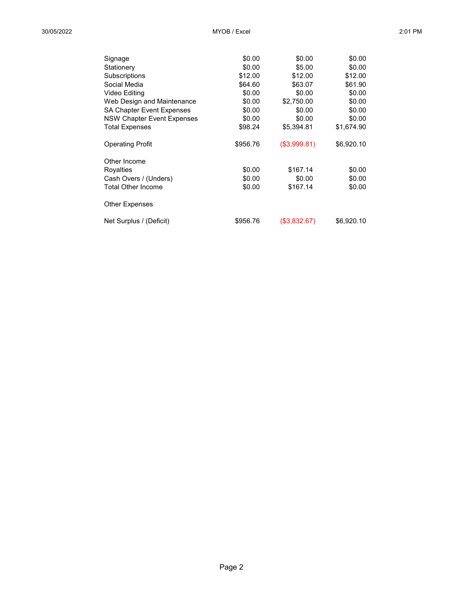| Signage                          | \$0.00   | \$0.00       | \$0.00     |
|----------------------------------|----------|--------------|------------|
| Stationery                       | \$0.00   | \$5.00       | \$0.00     |
| Subscriptions                    | \$12.00  | \$12.00      | \$12.00    |
| Social Media                     | \$64.60  | \$63.07      | \$61.90    |
| Video Editing                    | \$0.00   | \$0.00       | \$0.00     |
| Web Design and Maintenance       | \$0.00   | \$2,750.00   | \$0.00     |
| <b>SA Chapter Event Expenses</b> | \$0.00   | \$0.00       | \$0.00     |
| NSW Chapter Event Expenses       | \$0.00   | \$0.00       | \$0.00     |
| <b>Total Expenses</b>            | \$98.24  | \$5,394.81   | \$1,674.90 |
| <b>Operating Profit</b>          | \$956.76 | (\$3,999.81) | \$6,920.10 |
| Other Income                     |          |              |            |
| Royalties                        | \$0.00   | \$167.14     | \$0.00     |
| Cash Overs / (Unders)            | \$0.00   | \$0.00       | \$0.00     |
| <b>Total Other Income</b>        | \$0.00   | \$167.14     | \$0.00     |
| <b>Other Expenses</b>            |          |              |            |
| Net Surplus / (Deficit)          | \$956.76 | (\$3,832.67) | \$6,920.10 |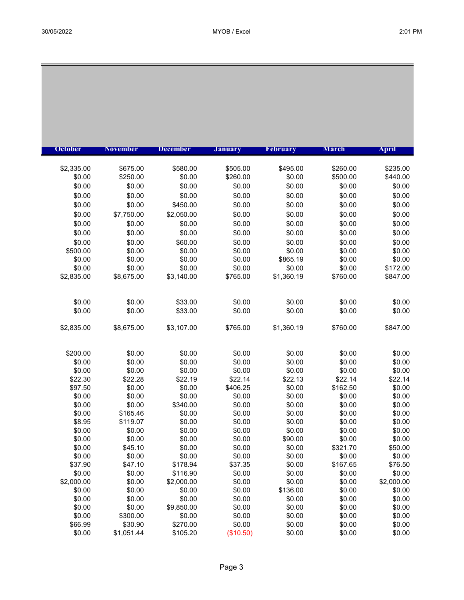| <b>October</b>       | <b>November</b>      | <b>December</b>    | <b>January</b>       | February           | <b>March</b>         | <b>April</b>         |
|----------------------|----------------------|--------------------|----------------------|--------------------|----------------------|----------------------|
|                      |                      |                    |                      |                    |                      |                      |
| \$2,335.00<br>\$0.00 | \$675.00<br>\$250.00 | \$580.00<br>\$0.00 | \$505.00<br>\$260.00 | \$495.00<br>\$0.00 | \$260.00<br>\$500.00 | \$235.00<br>\$440.00 |
|                      |                      |                    |                      |                    |                      | \$0.00               |
| \$0.00               | \$0.00               | \$0.00             | \$0.00               | \$0.00             | \$0.00               |                      |
| \$0.00               | \$0.00               | \$0.00             | \$0.00               | \$0.00             | \$0.00               | \$0.00               |
| \$0.00               | \$0.00               | \$450.00           | \$0.00               | \$0.00             | \$0.00               | \$0.00               |
| \$0.00               | \$7,750.00           | \$2,050.00         | \$0.00               | \$0.00             | \$0.00               | \$0.00               |
| \$0.00               | \$0.00               | \$0.00             | \$0.00               | \$0.00             | \$0.00               | \$0.00               |
| \$0.00               | \$0.00               | \$0.00             | \$0.00               | \$0.00             | \$0.00               | \$0.00               |
| \$0.00               | \$0.00               | \$60.00            | \$0.00               | \$0.00             | \$0.00               | \$0.00               |
| \$500.00             | \$0.00               | \$0.00             | \$0.00               | \$0.00             | \$0.00               | \$0.00               |
| \$0.00               | \$0.00               | \$0.00             | \$0.00               | \$865.19           | \$0.00               | \$0.00               |
| \$0.00               | \$0.00               | \$0.00             | \$0.00               | \$0.00             | \$0.00               | \$172.00             |
| \$2,835.00           | \$8,675.00           | \$3,140.00         | \$765.00             | \$1,360.19         | \$760.00             | \$847.00             |
| \$0.00               | \$0.00               | \$33.00            | \$0.00               | \$0.00             | \$0.00               | \$0.00               |
| \$0.00               | \$0.00               | \$33.00            | \$0.00               | \$0.00             | \$0.00               | \$0.00               |
|                      |                      |                    |                      |                    |                      |                      |
| \$2,835.00           | \$8,675.00           | \$3,107.00         | \$765.00             | \$1,360.19         | \$760.00             | \$847.00             |
| \$200.00             | \$0.00               | \$0.00             | \$0.00               | \$0.00             | \$0.00               | \$0.00               |
| \$0.00               | \$0.00               | \$0.00             | \$0.00               | \$0.00             | \$0.00               | \$0.00               |
| \$0.00               | \$0.00               | \$0.00             | \$0.00               | \$0.00             | \$0.00               | \$0.00               |
| \$22.30              | \$22.28              | \$22.19            | \$22.14              | \$22.13            | \$22.14              | \$22.14              |
| \$97.50              | \$0.00               | \$0.00             | \$406.25             | \$0.00             | \$162.50             | \$0.00               |
| \$0.00               | \$0.00               | \$0.00             | \$0.00               | \$0.00             | \$0.00               | \$0.00               |
| \$0.00               | \$0.00               | \$340.00           | \$0.00               | \$0.00             | \$0.00               | \$0.00               |
| \$0.00               | \$165.46             | \$0.00             | \$0.00               | \$0.00             | \$0.00               | \$0.00               |
| \$8.95               | \$119.07             | \$0.00             | \$0.00               | \$0.00             | \$0.00               | \$0.00               |
| \$0.00               | \$0.00               | \$0.00             | \$0.00               | \$0.00             | \$0.00               | \$0.00               |
| \$0.00               | \$0.00               | \$0.00             | \$0.00               | \$90.00            | \$0.00               | \$0.00               |
| \$0.00               | \$45.10              | \$0.00             | \$0.00               | \$0.00             | \$321.70             | \$50.00              |
| \$0.00               | \$0.00               | \$0.00             | \$0.00               | \$0.00             | \$0.00               | \$0.00               |
| \$37.90              | \$47.10              | \$178.94           | \$37.35              | \$0.00             | \$167.65             | \$76.50              |
| \$0.00               | \$0.00               | \$116.90           | \$0.00               | \$0.00             | \$0.00               | \$0.00               |
| \$2,000.00           | \$0.00               | \$2,000.00         | \$0.00               | \$0.00             | \$0.00               | \$2,000.00           |
| \$0.00               | \$0.00               | \$0.00             | \$0.00               | \$136.00           | \$0.00               | \$0.00               |
| \$0.00               | \$0.00               | \$0.00             | \$0.00               | \$0.00             | \$0.00               | \$0.00               |
| \$0.00               | \$0.00               | \$9,850.00         | \$0.00               | \$0.00             | \$0.00               | \$0.00               |
| \$0.00               | \$300.00             | \$0.00             | \$0.00               | \$0.00             | \$0.00               | \$0.00               |
| \$66.99              | \$30.90              | \$270.00           | \$0.00               | \$0.00             | \$0.00               | \$0.00               |
| \$0.00               | \$1,051.44           | \$105.20           | (\$10.50)            | \$0.00             | \$0.00               | \$0.00               |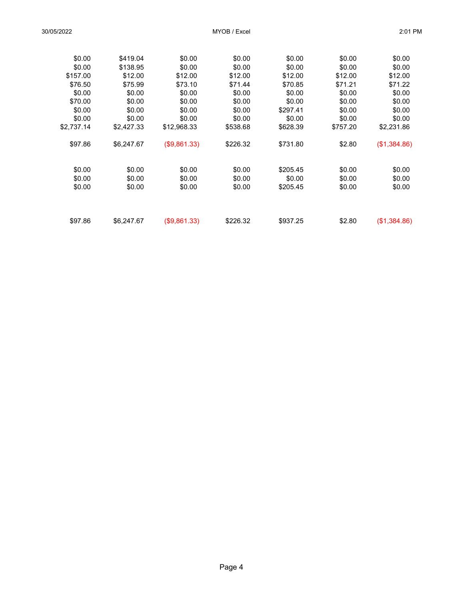| \$0.00     | \$419.04   | \$0.00           | \$0.00           | \$0.00   | \$0.00           | \$0.00           |
|------------|------------|------------------|------------------|----------|------------------|------------------|
| \$0.00     | \$138.95   | \$0.00           | \$0.00           | \$0.00   | \$0.00           | \$0.00           |
| \$157.00   | \$12.00    | \$12.00          | \$12.00          | \$12.00  | \$12.00          | \$12.00          |
| \$76.50    | \$75.99    | \$73.10          | \$71.44          | \$70.85  | \$71.21          | \$71.22          |
| \$0.00     | \$0.00     | \$0.00           | \$0.00           | \$0.00   | \$0.00           | \$0.00           |
| \$70.00    | \$0.00     | \$0.00           | \$0.00           | \$0.00   | \$0.00           | \$0.00           |
| \$0.00     | \$0.00     | \$0.00           | \$0.00           | \$297.41 | \$0.00           | \$0.00           |
| \$0.00     | \$0.00     | \$0.00           | \$0.00           | \$0.00   | \$0.00           | \$0.00           |
| \$2.737.14 | \$2,427.33 | \$12,968.33      | \$538.68         | \$628.39 | \$757.20         | \$2,231.86       |
| \$97.86    | \$6,247.67 | (\$9,861.33)     | \$226.32         | \$731.80 | \$2.80           | (\$1,384.86)     |
| \$0.00     | \$0.00     |                  |                  | \$205.45 |                  |                  |
| \$0.00     | \$0.00     | \$0.00<br>\$0.00 | \$0.00<br>\$0.00 | \$0.00   | \$0.00<br>\$0.00 | \$0.00<br>\$0.00 |
|            |            |                  | \$0.00           | \$205.45 |                  |                  |
| \$0.00     | \$0.00     | \$0.00           |                  |          | \$0.00           | \$0.00           |
| \$97.86    | \$6.247.67 | (\$9,861.33)     | \$226.32         | \$937.25 | \$2.80           | (\$1,384.86)     |
|            |            |                  |                  |          |                  |                  |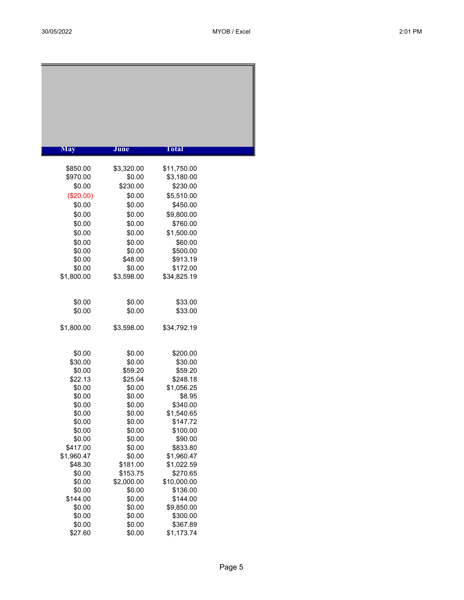| <b>May</b>       | June                   | Total                   |  |
|------------------|------------------------|-------------------------|--|
|                  |                        |                         |  |
| \$850.00         | \$3,320.00             | \$11,750.00             |  |
| \$970.00         | \$0.00                 | \$3,180.00              |  |
| \$0.00           | \$230.00               | \$230.00                |  |
| (\$20.00)        | \$0.00                 | \$5,510.00              |  |
| \$0.00           | \$0.00                 | \$450.00                |  |
| \$0.00           | \$0.00                 | \$9,800.00              |  |
| \$0.00           | \$0.00                 | \$760.00                |  |
| \$0.00           | \$0.00                 | \$1,500.00              |  |
| \$0.00           | \$0.00                 | \$60.00                 |  |
| \$0.00           | \$0.00                 | \$500.00                |  |
| \$0.00<br>\$0.00 | \$48.00<br>\$0.00      | \$913.19<br>\$172.00    |  |
| \$1,800.00       | \$3,598.00             | \$34,825.19             |  |
|                  |                        |                         |  |
|                  |                        |                         |  |
| \$0.00           | \$0.00                 | \$33.00                 |  |
| \$0.00           | \$0.00                 | \$33.00                 |  |
|                  |                        |                         |  |
| \$1,800.00       | \$3,598.00             | \$34,792.19             |  |
|                  |                        |                         |  |
| \$0.00           | \$0.00                 | \$200.00                |  |
| \$30.00          | \$0.00                 | \$30.00                 |  |
| \$0.00           | \$59.20                | \$59.20                 |  |
| \$22.13          | \$25.04                | \$248.18                |  |
| \$0.00           | \$0.00                 | \$1,056.25              |  |
| \$0.00<br>\$0.00 | \$0.00<br>\$0.00       | \$8.95<br>\$340.00      |  |
| \$0.00           | \$0.00                 | \$1,540.65              |  |
| \$0.00           | \$0.00                 | \$147.72                |  |
| \$0.00           | \$0.00                 | \$100.00                |  |
| \$0.00           | \$0.00                 | \$90.00                 |  |
| \$417.00         | \$0.00                 | \$833.80                |  |
| \$1,960.47       | \$0.00                 | \$1,960.47              |  |
| \$48.30          | \$181.00               | \$1,022.59              |  |
| \$0.00<br>\$0.00 | \$153.75<br>\$2,000.00 | \$270.65<br>\$10,000.00 |  |
| \$0.00           | \$0.00                 | \$136.00                |  |
| \$144.00         | \$0.00                 | \$144.00                |  |
| \$0.00           | \$0.00                 | \$9,850.00              |  |
| \$0.00           | \$0.00                 | \$300.00                |  |
| \$0.00           | \$0.00                 | \$367.89                |  |
| \$27.60          | \$0.00                 | \$1,173.74              |  |